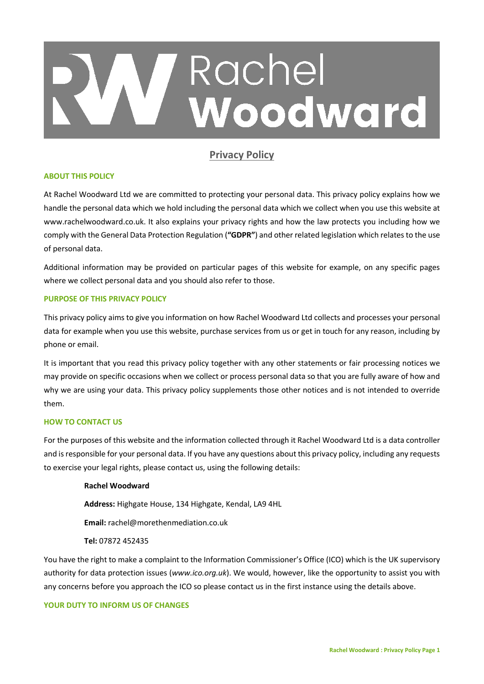# Rachel Woodward

# **Privacy Policy**

# **ABOUT THIS POLICY**

At Rachel Woodward Ltd we are committed to protecting your personal data. This privacy policy explains how we handle the personal data which we hold including the personal data which we collect when you use this website at www.rachelwoodward.co.uk. It also explains your privacy rights and how the law protects you including how we comply with the General Data Protection Regulation (**"GDPR"**) and other related legislation which relates to the use of personal data.

Additional information may be provided on particular pages of this website for example, on any specific pages where we collect personal data and you should also refer to those.

# **PURPOSE OF THIS PRIVACY POLICY**

This privacy policy aims to give you information on how Rachel Woodward Ltd collects and processes your personal data for example when you use this website, purchase services from us or get in touch for any reason, including by phone or email.

It is important that you read this privacy policy together with any other statements or fair processing notices we may provide on specific occasions when we collect or process personal data so that you are fully aware of how and why we are using your data. This privacy policy supplements those other notices and is not intended to override them.

# **HOW TO CONTACT US**

For the purposes of this website and the information collected through it Rachel Woodward Ltd is a data controller and is responsible for your personal data. If you have any questions about this privacy policy, including any requests to exercise your legal rights, please contact us, using the following details:

#### **Rachel Woodward**

**Address:** Highgate House, 134 Highgate, Kendal, LA9 4HL

**Email:** rachel@morethenmediation.co.uk

# **Tel:** 07872 452435

You have the right to make a complaint to the Information Commissioner's Office (ICO) which is the UK supervisory authority for data protection issues (*[www.ico.org.uk](http://www.ico.org.uk/)*). We would, however, like the opportunity to assist you with any concerns before you approach the ICO so please contact us in the first instance using the details above.

# **YOUR DUTY TO INFORM US OF CHANGES**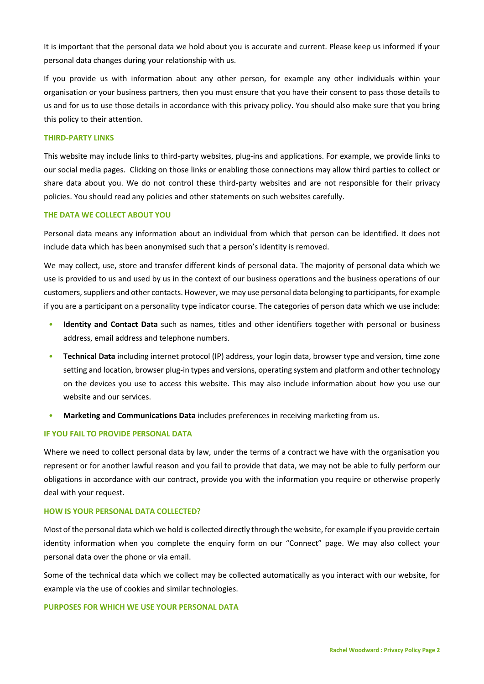It is important that the personal data we hold about you is accurate and current. Please keep us informed if your personal data changes during your relationship with us.

If you provide us with information about any other person, for example any other individuals within your organisation or your business partners, then you must ensure that you have their consent to pass those details to us and for us to use those details in accordance with this privacy policy. You should also make sure that you bring this policy to their attention.

# **THIRD-PARTY LINKS**

This website may include links to third-party websites, plug-ins and applications. For example, we provide links to our social media pages. Clicking on those links or enabling those connections may allow third parties to collect or share data about you. We do not control these third-party websites and are not responsible for their privacy policies. You should read any policies and other statements on such websites carefully.

#### **THE DATA WE COLLECT ABOUT YOU**

Personal data means any information about an individual from which that person can be identified. It does not include data which has been anonymised such that a person's identity is removed.

We may collect, use, store and transfer different kinds of personal data. The majority of personal data which we use is provided to us and used by us in the context of our business operations and the business operations of our customers, suppliers and other contacts. However, we may use personal data belonging to participants, for example if you are a participant on a personality type indicator course. The categories of person data which we use include:

- **Identity and Contact Data** such as names, titles and other identifiers together with personal or business address, email address and telephone numbers.
- **Technical Data** including internet protocol (IP) address, your login data, browser type and version, time zone setting and location, browser plug-in types and versions, operating system and platform and other technology on the devices you use to access this website. This may also include information about how you use our website and our services.
- **Marketing and Communications Data** includes preferences in receiving marketing from us.

#### **IF YOU FAIL TO PROVIDE PERSONAL DATA**

Where we need to collect personal data by law, under the terms of a contract we have with the organisation you represent or for another lawful reason and you fail to provide that data, we may not be able to fully perform our obligations in accordance with our contract, provide you with the information you require or otherwise properly deal with your request.

#### **HOW IS YOUR PERSONAL DATA COLLECTED?**

Most of the personal data which we hold is collected directly through the website, for example if you provide certain identity information when you complete the enquiry form on our "Connect" page. We may also collect your personal data over the phone or via email.

Some of the technical data which we collect may be collected automatically as you interact with our website, for example via the use of cookies and similar technologies.

#### **PURPOSES FOR WHICH WE USE YOUR PERSONAL DATA**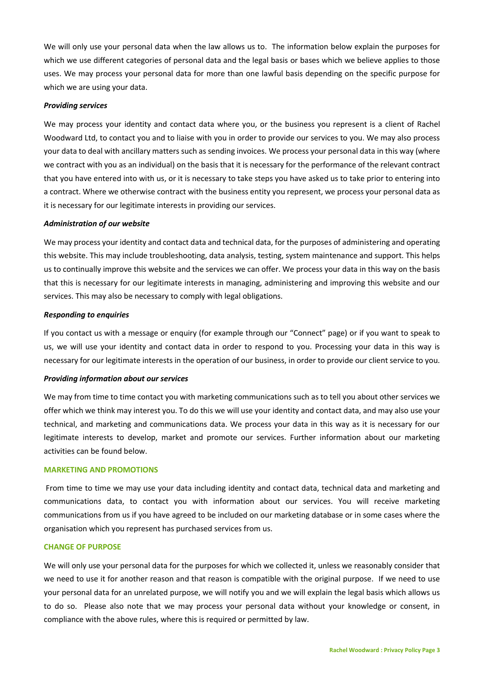We will only use your personal data when the law allows us to. The information below explain the purposes for which we use different categories of personal data and the legal basis or bases which we believe applies to those uses. We may process your personal data for more than one lawful basis depending on the specific purpose for which we are using your data.

#### *Providing services*

We may process your identity and contact data where you, or the business you represent is a client of Rachel Woodward Ltd, to contact you and to liaise with you in order to provide our services to you. We may also process your data to deal with ancillary matters such as sending invoices. We process your personal data in this way (where we contract with you as an individual) on the basis that it is necessary for the performance of the relevant contract that you have entered into with us, or it is necessary to take steps you have asked us to take prior to entering into a contract. Where we otherwise contract with the business entity you represent, we process your personal data as it is necessary for our legitimate interests in providing our services.

#### *Administration of our website*

We may process your identity and contact data and technical data, for the purposes of administering and operating this website. This may include troubleshooting, data analysis, testing, system maintenance and support. This helps us to continually improve this website and the services we can offer. We process your data in this way on the basis that this is necessary for our legitimate interests in managing, administering and improving this website and our services. This may also be necessary to comply with legal obligations.

#### *Responding to enquiries*

If you contact us with a message or enquiry (for example through our "Connect" page) or if you want to speak to us, we will use your identity and contact data in order to respond to you. Processing your data in this way is necessary for our legitimate interests in the operation of our business, in order to provide our client service to you.

#### *Providing information about our services*

We may from time to time contact you with marketing communications such as to tell you about other services we offer which we think may interest you. To do this we will use your identity and contact data, and may also use your technical, and marketing and communications data. We process your data in this way as it is necessary for our legitimate interests to develop, market and promote our services. Further information about our marketing activities can be found below.

#### **MARKETING AND PROMOTIONS**

From time to time we may use your data including identity and contact data, technical data and marketing and communications data, to contact you with information about our services. You will receive marketing communications from us if you have agreed to be included on our marketing database or in some cases where the organisation which you represent has purchased services from us.

#### **CHANGE OF PURPOSE**

We will only use your personal data for the purposes for which we collected it, unless we reasonably consider that we need to use it for another reason and that reason is compatible with the original purpose. If we need to use your personal data for an unrelated purpose, we will notify you and we will explain the legal basis which allows us to do so. Please also note that we may process your personal data without your knowledge or consent, in compliance with the above rules, where this is required or permitted by law.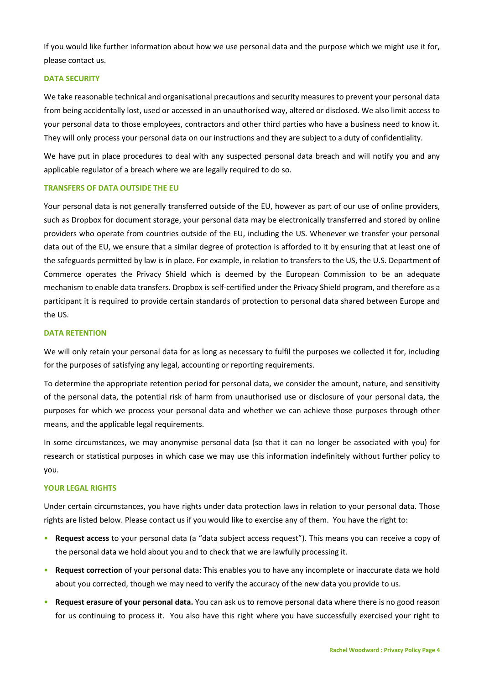If you would like further information about how we use personal data and the purpose which we might use it for, please contact us.

#### **DATA SECURITY**

We take reasonable technical and organisational precautions and security measures to prevent your personal data from being accidentally lost, used or accessed in an unauthorised way, altered or disclosed. We also limit access to your personal data to those employees, contractors and other third parties who have a business need to know it. They will only process your personal data on our instructions and they are subject to a duty of confidentiality.

We have put in place procedures to deal with any suspected personal data breach and will notify you and any applicable regulator of a breach where we are legally required to do so.

#### **TRANSFERS OF DATA OUTSIDE THE EU**

Your personal data is not generally transferred outside of the EU, however as part of our use of online providers, such as Dropbox for document storage, your personal data may be electronically transferred and stored by online providers who operate from countries outside of the EU, including the US. Whenever we transfer your personal data out of the EU, we ensure that a similar degree of protection is afforded to it by ensuring that at least one of the safeguards permitted by law is in place. For example, in relation to transfers to the US, the U.S. Department of Commerce operates the Privacy Shield which is deemed by the European Commission to be an adequate mechanism to enable data transfers. Dropbox is self-certified under the Privacy Shield program, and therefore as a participant it is required to provide certain standards of protection to personal data shared between Europe and the US.

# **DATA RETENTION**

We will only retain your personal data for as long as necessary to fulfil the purposes we collected it for, including for the purposes of satisfying any legal, accounting or reporting requirements.

To determine the appropriate retention period for personal data, we consider the amount, nature, and sensitivity of the personal data, the potential risk of harm from unauthorised use or disclosure of your personal data, the purposes for which we process your personal data and whether we can achieve those purposes through other means, and the applicable legal requirements.

In some circumstances, we may anonymise personal data (so that it can no longer be associated with you) for research or statistical purposes in which case we may use this information indefinitely without further policy to you.

#### **YOUR LEGAL RIGHTS**

Under certain circumstances, you have rights under data protection laws in relation to your personal data. Those rights are listed below. Please contact us if you would like to exercise any of them. You have the right to:

- **Request access** to your personal data (a "data subject access request"). This means you can receive a copy of the personal data we hold about you and to check that we are lawfully processing it.
- **Request correction** of your personal data: This enables you to have any incomplete or inaccurate data we hold about you corrected, though we may need to verify the accuracy of the new data you provide to us.
- **Request erasure of your personal data.** You can ask us to remove personal data where there is no good reason for us continuing to process it. You also have this right where you have successfully exercised your right to